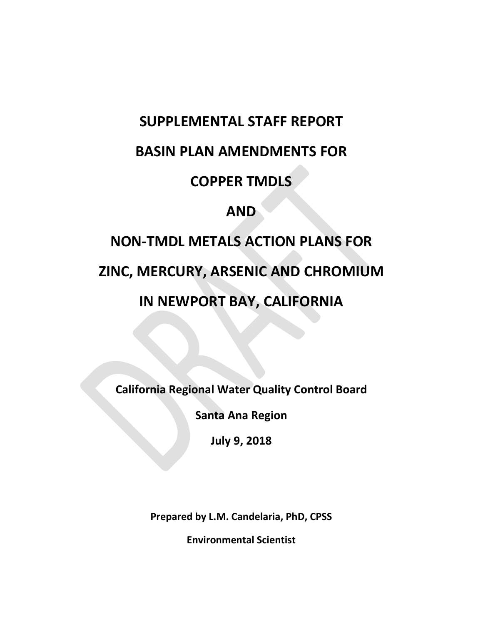## **SUPPLEMENTAL STAFF REPORT**

### **BASIN PLAN AMENDMENTS FOR**

### **COPPER TMDLS**

### **AND**

# **NON-TMDL METALS ACTION PLANS FOR**

# **ZINC, MERCURY, ARSENIC AND CHROMIUM**

# **IN NEWPORT BAY, CALIFORNIA**

**California Regional Water Quality Control Board** 

**Santa Ana Region** 

**July 9, 2018** 

**Prepared by L.M. Candelaria, PhD, CPSS** 

**Environmental Scientist**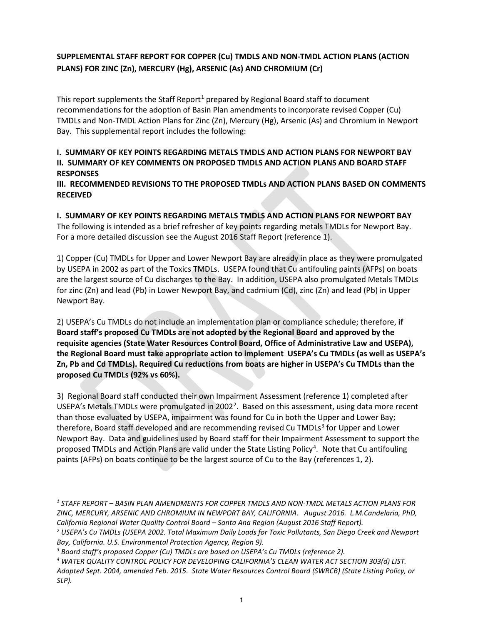#### **SUPPLEMENTAL STAFF REPORT FOR COPPER (Cu) TMDLS AND NON-TMDL ACTION PLANS (ACTION PLANS) FOR ZINC (Zn), MERCURY (Hg), ARSENIC (As) AND CHROMIUM (Cr)**

This report supplements the Staff Report<sup>[1](#page-1-0)</sup> prepared by Regional Board staff to document recommendations for the adoption of Basin Plan amendments to incorporate revised Copper (Cu) TMDLs and Non-TMDL Action Plans for Zinc (Zn), Mercury (Hg), Arsenic (As) and Chromium in Newport Bay. This supplemental report includes the following:

#### **I. SUMMARY OF KEY POINTS REGARDING METALS TMDLS AND ACTION PLANS FOR NEWPORT BAY II. SUMMARY OF KEY COMMENTS ON PROPOSED TMDLS AND ACTION PLANS AND BOARD STAFF RESPONSES**

**III. RECOMMENDED REVISIONS TO THE PROPOSED TMDLs AND ACTION PLANS BASED ON COMMENTS RECEIVED**

**I. SUMMARY OF KEY POINTS REGARDING METALS TMDLS AND ACTION PLANS FOR NEWPORT BAY** The following is intended as a brief refresher of key points regarding metals TMDLs for Newport Bay. For a more detailed discussion see the August 2016 Staff Report (reference 1).

1) Copper (Cu) TMDLs for Upper and Lower Newport Bay are already in place as they were promulgated by USEPA in 2002 as part of the Toxics TMDLs. USEPA found that Cu antifouling paints (AFPs) on boats are the largest source of Cu discharges to the Bay. In addition, USEPA also promulgated Metals TMDLs for zinc (Zn) and lead (Pb) in Lower Newport Bay, and cadmium (Cd), zinc (Zn) and lead (Pb) in Upper Newport Bay.

2) USEPA's Cu TMDLs do not include an implementation plan or compliance schedule; therefore, **if Board staff's proposed Cu TMDLs are not adopted by the Regional Board and approved by the requisite agencies (State Water Resources Control Board, Office of Administrative Law and USEPA), the Regional Board must take appropriate action to implement USEPA's Cu TMDLs (as well as USEPA's Zn, Pb and Cd TMDLs). Required Cu reductions from boats are higher in USEPA's Cu TMDLs than the proposed Cu TMDLs (92% vs 60%).**

3) Regional Board staff conducted their own Impairment Assessment (reference 1) completed after USEPA's Metals TMDLs were promulgated in [2](#page-1-1)002<sup>2</sup>. Based on this assessment, using data more recent than those evaluated by USEPA, impairment was found for Cu in both the Upper and Lower Bay; therefore, Board staff developed and are recommending revised Cu TMDLs $3$  for Upper and Lower Newport Bay. Data and guidelines used by Board staff for their Impairment Assessment to support the proposed TMDLs and Action Plans are valid under the State Listing Policy<sup>[4](#page-1-3)</sup>. Note that Cu antifouling paints (AFPs) on boats continue to be the largest source of Cu to the Bay (references 1, 2).

<span id="page-1-3"></span>*Adopted Sept. 2004, amended Feb. 2015. State Water Resources Control Board (SWRCB) (State Listing Policy, or SLP).* 

<span id="page-1-0"></span>*<sup>1</sup> STAFF REPORT – BASIN PLAN AMENDMENTS FOR COPPER TMDLS AND NON-TMDL METALS ACTION PLANS FOR ZINC, MERCURY, ARSENIC AND CHROMIUM IN NEWPORT BAY, CALIFORNIA. August 2016. L.M.Candelaria, PhD, California Regional Water Quality Control Board – Santa Ana Region (August 2016 Staff Report). 2 USEPA's Cu TMDLs (USEPA 2002. Total Maximum Daily Loads for Toxic Pollutants, San Diego Creek and Newport* 

<span id="page-1-1"></span>Bay, California. U.S. Environmental Protection Agency, Region 9).<br><sup>3</sup> Board staff's proposed Copper (Cu) TMDLs are based on USEPA's Cu TMDLs (reference 2).<br><sup>4</sup> WATER QUALITY CONTROL POLICY FOR DEVELOPING CALIFORNIA'S CLEAN

<span id="page-1-2"></span>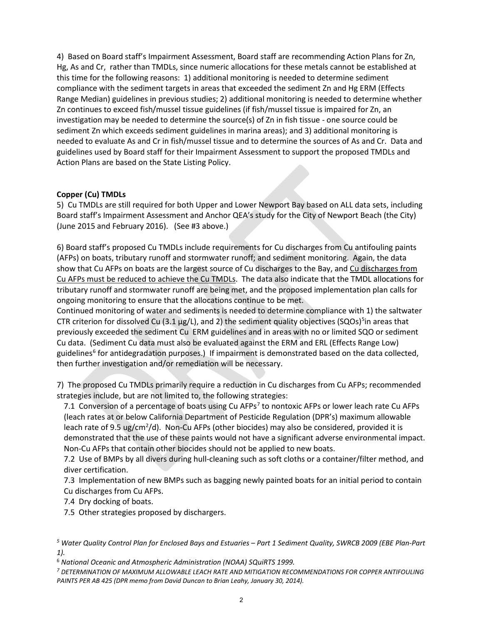4) Based on Board staff's Impairment Assessment, Board staff are recommending Action Plans for Zn, Hg, As and Cr, rather than TMDLs, since numeric allocations for these metals cannot be established at this time for the following reasons: 1) additional monitoring is needed to determine sediment compliance with the sediment targets in areas that exceeded the sediment Zn and Hg ERM (Effects Range Median) guidelines in previous studies; 2) additional monitoring is needed to determine whether Zn continues to exceed fish/mussel tissue guidelines (if fish/mussel tissue is impaired for Zn, an investigation may be needed to determine the source(s) of Zn in fish tissue - one source could be sediment Zn which exceeds sediment guidelines in marina areas); and 3) additional monitoring is needed to evaluate As and Cr in fish/mussel tissue and to determine the sources of As and Cr. Data and guidelines used by Board staff for their Impairment Assessment to support the proposed TMDLs and Action Plans are based on the State Listing Policy.

#### **Copper (Cu) TMDLs**

5) Cu TMDLs are still required for both Upper and Lower Newport Bay based on ALL data sets, including Board staff's Impairment Assessment and Anchor QEA's study for the City of Newport Beach (the City) (June 2015 and February 2016). (See #3 above.)

6) Board staff's proposed Cu TMDLs include requirements for Cu discharges from Cu antifouling paints (AFPs) on boats, tributary runoff and stormwater runoff; and sediment monitoring. Again, the data show that Cu AFPs on boats are the largest source of Cu discharges to the Bay, and Cu discharges from Cu AFPs must be reduced to achieve the Cu TMDLs. The data also indicate that the TMDL allocations for tributary runoff and stormwater runoff are being met, and the proposed implementation plan calls for ongoing monitoring to ensure that the allocations continue to be met.

Continued monitoring of water and sediments is needed to determine compliance with 1) the saltwater CTR criterion for dissolved Cu (3.1  $\mu$ g/L), and 2) the sediment quality objectives (SQOs)<sup>[5](#page-2-0)</sup>in areas that previously exceeded the sediment Cu ERM guidelines and in areas with no or limited SQO or sediment Cu data. (Sediment Cu data must also be evaluated against the ERM and ERL (Effects Range Low) guidelines<sup>[6](#page-2-1)</sup> for antidegradation purposes.) If impairment is demonstrated based on the data collected, then further investigation and/or remediation will be necessary.

7) The proposed Cu TMDLs primarily require a reduction in Cu discharges from Cu AFPs; recommended strategies include, but are not limited to, the following strategies:

[7](#page-2-2).1 Conversion of a percentage of boats using Cu AFPs<sup>7</sup> to nontoxic AFPs or lower leach rate Cu AFPs (leach rates at or below California Department of Pesticide Regulation (DPR's) maximum allowable leach rate of 9.5 ug/cm<sup>2</sup>/d). Non-Cu AFPs (other biocides) may also be considered, provided it is demonstrated that the use of these paints would not have a significant adverse environmental impact. Non-Cu AFPs that contain other biocides should not be applied to new boats.

7.2 Use of BMPs by all divers during hull-cleaning such as soft cloths or a container/filter method, and diver certification.

7.3 Implementation of new BMPs such as bagging newly painted boats for an initial period to contain Cu discharges from Cu AFPs.

7.4 Dry docking of boats.

7.5 Other strategies proposed by dischargers.

<span id="page-2-0"></span>*<sup>5</sup> Water Quality Control Plan for Enclosed Bays and Estuaries – Part 1 Sediment Quality, SWRCB 2009 (EBE Plan-Part 1).* 

<span id="page-2-2"></span><span id="page-2-1"></span><sup>&</sup>lt;sup>6</sup> National Oceanic and Atmospheric Administration (NOAA) SQuiRTS 1999.<br><sup>7</sup> DETERMINATION OF MAXIMUM ALLOWABLE LEACH RATE AND MITIGATION RECOMMENDATIONS FOR COPPER ANTIFOULING *PAINTS PER AB 425 (DPR memo from David Duncan to Brian Leahy, January 30, 2014).*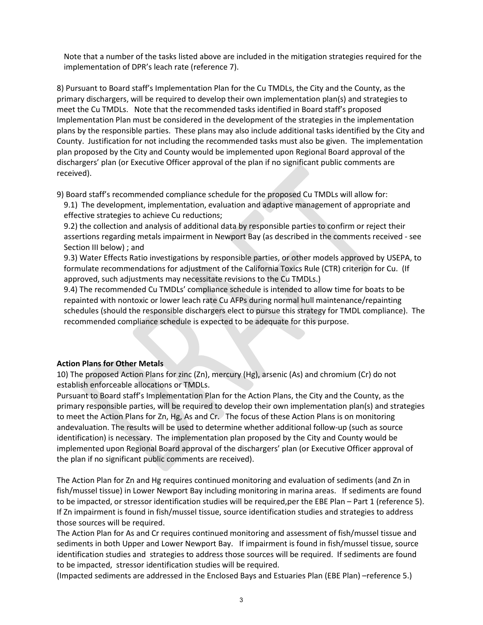Note that a number of the tasks listed above are included in the mitigation strategies required for the implementation of DPR's leach rate (reference 7).

8) Pursuant to Board staff's Implementation Plan for the Cu TMDLs, the City and the County, as the primary dischargers, will be required to develop their own implementation plan(s) and strategies to meet the Cu TMDLs. Note that the recommended tasks identified in Board staff's proposed Implementation Plan must be considered in the development of the strategies in the implementation plans by the responsible parties. These plans may also include additional tasks identified by the City and County. Justification for not including the recommended tasks must also be given. The implementation plan proposed by the City and County would be implemented upon Regional Board approval of the dischargers' plan (or Executive Officer approval of the plan if no significant public comments are received).

9) Board staff's recommended compliance schedule for the proposed Cu TMDLs will allow for:

9.1) The development, implementation, evaluation and adaptive management of appropriate and effective strategies to achieve Cu reductions;

9.2) the collection and analysis of additional data by responsible parties to confirm or reject their assertions regarding metals impairment in Newport Bay (as described in the comments received - see Section III below) ; and

9.3) Water Effects Ratio investigations by responsible parties, or other models approved by USEPA, to formulate recommendations for adjustment of the California Toxics Rule (CTR) criterion for Cu. (If approved, such adjustments may necessitate revisions to the Cu TMDLs.)

9.4) The recommended Cu TMDLs' compliance schedule is intended to allow time for boats to be repainted with nontoxic or lower leach rate Cu AFPs during normal hull maintenance/repainting schedules (should the responsible dischargers elect to pursue this strategy for TMDL compliance). The recommended compliance schedule is expected to be adequate for this purpose.

#### **Action Plans for Other Metals**

10) The proposed Action Plans for zinc (Zn), mercury (Hg), arsenic (As) and chromium (Cr) do not establish enforceable allocations or TMDLs.

Pursuant to Board staff's Implementation Plan for the Action Plans, the City and the County, as the primary responsible parties, will be required to develop their own implementation plan(s) and strategies to meet the Action Plans for Zn, Hg, As and Cr. The focus of these Action Plans is on monitoring andevaluation. The results will be used to determine whether additional follow-up (such as source identification) is necessary. The implementation plan proposed by the City and County would be implemented upon Regional Board approval of the dischargers' plan (or Executive Officer approval of the plan if no significant public comments are received).

The Action Plan for Zn and Hg requires continued monitoring and evaluation of sediments (and Zn in fish/mussel tissue) in Lower Newport Bay including monitoring in marina areas. If sediments are found to be impacted, or stressor identification studies will be required,per the EBE Plan – Part 1 (reference 5). If Zn impairment is found in fish/mussel tissue, source identification studies and strategies to address those sources will be required.

The Action Plan for As and Cr requires continued monitoring and assessment of fish/mussel tissue and sediments in both Upper and Lower Newport Bay. If impairment is found in fish/mussel tissue, source identification studies and strategies to address those sources will be required. If sediments are found to be impacted, stressor identification studies will be required.

(Impacted sediments are addressed in the Enclosed Bays and Estuaries Plan (EBE Plan) –reference 5.)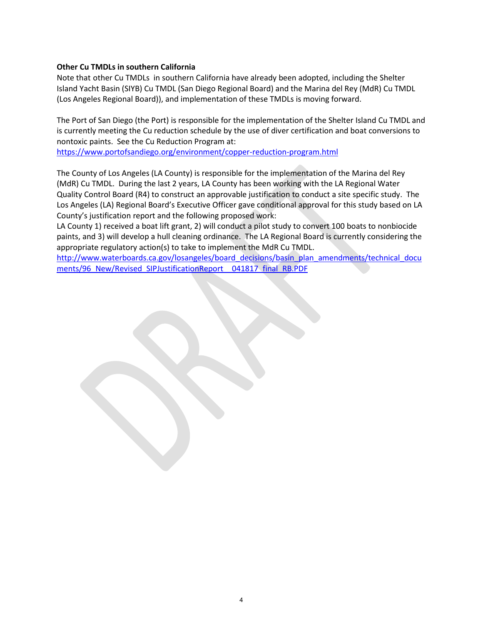#### **Other Cu TMDLs in southern California**

Note that other Cu TMDLs in southern California have already been adopted, including the Shelter Island Yacht Basin (SIYB) Cu TMDL (San Diego Regional Board) and the Marina del Rey (MdR) Cu TMDL (Los Angeles Regional Board)), and implementation of these TMDLs is moving forward.

The Port of San Diego (the Port) is responsible for the implementation of the Shelter Island Cu TMDL and is currently meeting the Cu reduction schedule by the use of diver certification and boat conversions to nontoxic paints. See the Cu Reduction Program at:

<https://www.portofsandiego.org/environment/copper-reduction-program.html>

The County of Los Angeles (LA County) is responsible for the implementation of the Marina del Rey (MdR) Cu TMDL. During the last 2 years, LA County has been working with the LA Regional Water Quality Control Board (R4) to construct an approvable justification to conduct a site specific study. The Los Angeles (LA) Regional Board's Executive Officer gave conditional approval for this study based on LA County's justification report and the following proposed work:

LA County 1) received a boat lift grant, 2) will conduct a pilot study to convert 100 boats to nonbiocide paints, and 3) will develop a hull cleaning ordinance. The LA Regional Board is currently considering the appropriate regulatory action(s) to take to implement the MdR Cu TMDL.

[http://www.waterboards.ca.gov/losangeles/board\\_decisions/basin\\_plan\\_amendments/technical\\_docu](http://www.waterboards.ca.gov/losangeles/board_decisions/basin_plan_amendments/technical_documents/96_New/Revised_SIPJustificationReport__041817_final_RB.PDF) ments/96\_New/Revised\_SIPJustificationReport \_041817\_final\_RB.PDF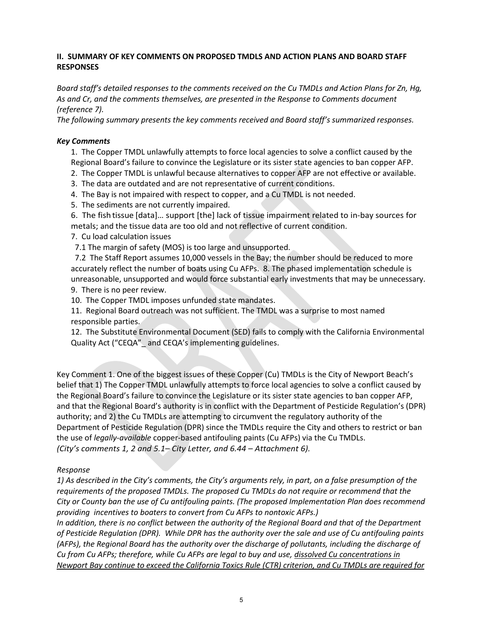#### **II. SUMMARY OF KEY COMMENTS ON PROPOSED TMDLS AND ACTION PLANS AND BOARD STAFF RESPONSES**

*Board staff's detailed responses to the comments received on the Cu TMDLs and Action Plans for Zn, Hg, As and Cr, and the comments themselves, are presented in the Response to Comments document (reference 7).* 

*The following summary presents the key comments received and Board staff's summarized responses.* 

#### *Key Comments*

1. The Copper TMDL unlawfully attempts to force local agencies to solve a conflict caused by the Regional Board's failure to convince the Legislature or its sister state agencies to ban copper AFP.

- 2. The Copper TMDL is unlawful because alternatives to copper AFP are not effective or available.
- 3. The data are outdated and are not representative of current conditions.
- 4. The Bay is not impaired with respect to copper, and a Cu TMDL is not needed.
- 5. The sediments are not currently impaired.
- 6. The fish tissue [data]… support [the] lack of tissue impairment related to in-bay sources for metals; and the tissue data are too old and not reflective of current condition.
- 7. Cu load calculation issues
- 7.1 The margin of safety (MOS) is too large and unsupported.

 7.2 The Staff Report assumes 10,000 vessels in the Bay; the number should be reduced to more accurately reflect the number of boats using Cu AFPs. 8. The phased implementation schedule is unreasonable, unsupported and would force substantial early investments that may be unnecessary. 9. There is no peer review.

10. The Copper TMDL imposes unfunded state mandates.

11. Regional Board outreach was not sufficient. The TMDL was a surprise to most named responsible parties.

12. The Substitute Environmental Document (SED) fails to comply with the California Environmental Quality Act ("CEQA"\_ and CEQA's implementing guidelines.

Key Comment 1. One of the biggest issues of these Copper (Cu) TMDLs is the City of Newport Beach's belief that 1) The Copper TMDL unlawfully attempts to force local agencies to solve a conflict caused by the Regional Board's failure to convince the Legislature or its sister state agencies to ban copper AFP, and that the Regional Board's authority is in conflict with the Department of Pesticide Regulation's (DPR) authority; and 2) the Cu TMDLs are attempting to circumvent the regulatory authority of the Department of Pesticide Regulation (DPR) since the TMDLs require the City and others to restrict or ban the use of *legally-available* copper-based antifouling paints (Cu AFPs) via the Cu TMDLs. *(City's comments 1, 2 and 5.1– City Letter, and 6.44 – Attachment 6).* 

#### *Response*

*1) As described in the City's comments, the City's arguments rely, in part, on a false presumption of the requirements of the proposed TMDLs. The proposed Cu TMDLs do not require or recommend that the City or County ban the use of Cu antifouling paints. (The proposed Implementation Plan does recommend providing incentives to boaters to convert from Cu AFPs to nontoxic AFPs.)* 

*In addition, there is no conflict between the authority of the Regional Board and that of the Department of Pesticide Regulation (DPR). While DPR has the authority over the sale and use of Cu antifouling paints (AFPs), the Regional Board has the authority over the discharge of pollutants, including the discharge of Cu from Cu AFPs; therefore, while Cu AFPs are legal to buy and use, dissolved Cu concentrations in Newport Bay continue to exceed the California Toxics Rule (CTR) criterion, and Cu TMDLs are required for*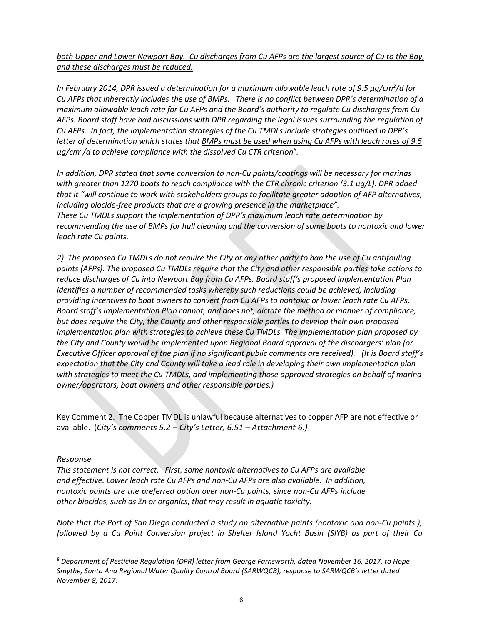*both Upper and Lower Newport Bay. Cu discharges from Cu AFPs are the largest source of Cu to the Bay, and these discharges must be reduced.* 

*In February 2014, DPR issued a determination for a maximum allowable leach rate of 9.5 µg/cm2 /d for Cu AFPs that inherently includes the use of BMPs. There is no conflict between DPR's determination of a maximum allowable leach rate for Cu AFPs and the Board's authority to regulate Cu discharges from Cu AFPs. Board staff have had discussions with DPR regarding the legal issues surrounding the regulation of Cu AFPs. In fact, the implementation strategies of the Cu TMDLs include strategies outlined in DPR's letter of determination which states that BMPs must be used when using Cu AFPs with leach rates of 9.5 µg/cm2 /d to achieve compliance with the dissolved Cu CTR criterio[n8](#page-6-0) .* 

*In addition, DPR stated that some conversion to non-Cu paints/coatings will be necessary for marinas with greater than 1270 boats to reach compliance with the CTR chronic criterion (3.1 µg/L). DPR added that it "will continue to work with stakeholders groups to facilitate greater adoption of AFP alternatives, including biocide-free products that are a growing presence in the marketplace". These Cu TMDLs support the implementation of DPR's maximum leach rate determination by recommending the use of BMPs for hull cleaning and the conversion of some boats to nontoxic and lower leach rate Cu paints.* 

*2) The proposed Cu TMDLs do not require the City or any other party to ban the use of Cu antifouling paints (AFPs). The proposed Cu TMDLs require that the City and other responsible parties take actions to reduce discharges of Cu into Newport Bay from Cu AFPs. Board staff's proposed Implementation Plan identifies a number of recommended tasks whereby such reductions could be achieved, including providing incentives to boat owners to convert from Cu AFPs to nontoxic or lower leach rate Cu AFPs. Board staff's Implementation Plan cannot, and does not, dictate the method or manner of compliance, but does require the City, the County and other responsible parties to develop their own proposed implementation plan with strategies to achieve these Cu TMDLs. The implementation plan proposed by the City and County would be implemented upon Regional Board approval of the dischargers' plan (or Executive Officer approval of the plan if no significant public comments are received). (It is Board staff's expectation that the City and County will take a lead role in developing their own implementation plan with strategies to meet the Cu TMDLs, and implementing those approved strategies on behalf of marina owner/operators, boat owners and other responsible parties.)* 

Key Comment 2. The Copper TMDL is unlawful because alternatives to copper AFP are not effective or available. (*City's comments 5.2 – City's Letter, 6.51 – Attachment 6.)*

#### *Response*

*This statement is not correct. First, some nontoxic alternatives to Cu AFPs are available and effective. Lower leach rate Cu AFPs and non-Cu AFPs are also available. In addition, nontoxic paints are the preferred option over non-Cu paints, since non-Cu AFPs include other biocides, such as Zn or organics, that may result in aquatic toxicity.* 

*Note that the Port of San Diego conducted a study on alternative paints (nontoxic and non-Cu paints ), followed by a Cu Paint Conversion project in Shelter Island Yacht Basin (SIYB) as part of their Cu* 

<span id="page-6-0"></span>*<sup>8</sup> Department of Pesticide Regulation (DPR) letter from George Farnsworth, dated November 16, 2017, to Hope Smythe, Santa Ana Regional Water Quality Control Board (SARWQCB), response to SARWQCB's letter dated November 8, 2017.*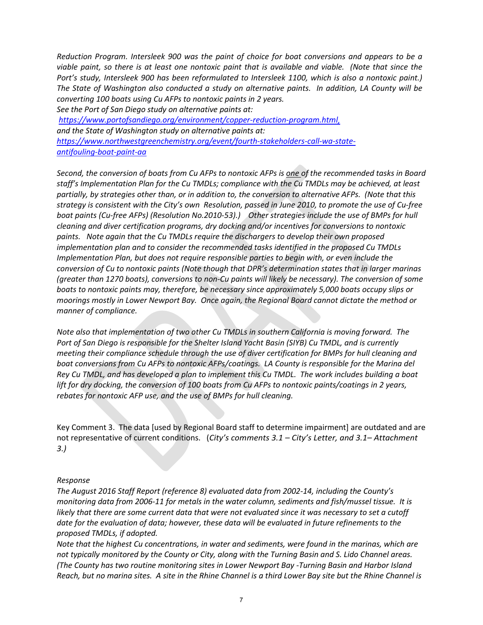*Reduction Program. Intersleek 900 was the paint of choice for boat conversions and appears to be a viable paint, so there is at least one nontoxic paint that is available and viable. (Note that since the Port's study, Intersleek 900 has been reformulated to Intersleek 1100, which is also a nontoxic paint.) The State of Washington also conducted a study on alternative paints. In addition, LA County will be converting 100 boats using Cu AFPs to nontoxic paints in 2 years.* 

*See the Port of San Diego study on alternative paints at:* 

*[https://www.portofsandiego.org/environment/copper-reduction-program.html,](https://www.portofsandiego.org/environment/copper-reduction-program.html) and the State of Washington study on alternative paints at: [https://www.northwestgreenchemistry.org/event/fourth-stakeholders-call-wa-state](https://www.northwestgreenchemistry.org/event/fourth-stakeholders-call-wa-state-antifouling-boat-paint-aa)[antifouling-boat-paint-aa](https://www.northwestgreenchemistry.org/event/fourth-stakeholders-call-wa-state-antifouling-boat-paint-aa)* 

*Second, the conversion of boats from Cu AFPs to nontoxic AFPs is one of the recommended tasks in Board staff's Implementation Plan for the Cu TMDLs; compliance with the Cu TMDLs may be achieved, at least partially, by strategies other than, or in addition to, the conversion to alternative AFPs. (Note that this strategy is consistent with the City's own Resolution, passed in June 2010, to promote the use of Cu-free boat paints (Cu-free AFPs) (Resolution No.2010-53).) Other strategies include the use of BMPs for hull cleaning and diver certification programs, dry docking and/or incentives for conversions to nontoxic paints. Note again that the Cu TMDLs require the dischargers to develop their own proposed implementation plan and to consider the recommended tasks identified in the proposed Cu TMDLs Implementation Plan, but does not require responsible parties to begin with, or even include the conversion of Cu to nontoxic paints (Note though that DPR's determination states that in larger marinas (greater than 1270 boats), conversions to non-Cu paints will likely be necessary). The conversion of some boats to nontoxic paints may, therefore, be necessary since approximately 5,000 boats occupy slips or moorings mostly in Lower Newport Bay. Once again, the Regional Board cannot dictate the method or manner of compliance.* 

*Note also that implementation of two other Cu TMDLs in southern California is moving forward. The Port of San Diego is responsible for the Shelter Island Yacht Basin (SIYB) Cu TMDL, and is currently meeting their compliance schedule through the use of diver certification for BMPs for hull cleaning and boat conversions from Cu AFPs to nontoxic AFPs/coatings. LA County is responsible for the Marina del Rey Cu TMDL, and has developed a plan to implement this Cu TMDL. The work includes building a boat*  lift for dry docking, the conversion of 100 boats from Cu AFPs to nontoxic paints/coatings in 2 years, *rebates for nontoxic AFP use, and the use of BMPs for hull cleaning.* 

Key Comment 3. The data [used by Regional Board staff to determine impairment] are outdated and are not representative of current conditions. (*City's comments 3.1 – City's Letter, and 3.1– Attachment 3.)* 

#### *Response*

*The August 2016 Staff Report (reference 8) evaluated data from 2002-14, including the County's monitoring data from 2006-11 for metals in the water column, sediments and fish/mussel tissue. It is likely that there are some current data that were not evaluated since it was necessary to set a cutoff date for the evaluation of data; however, these data will be evaluated in future refinements to the proposed TMDLs, if adopted.* 

*Note that the highest Cu concentrations, in water and sediments, were found in the marinas, which are not typically monitored by the County or City, along with the Turning Basin and S. Lido Channel areas. (The County has two routine monitoring sites in Lower Newport Bay -Turning Basin and Harbor Island Reach, but no marina sites. A site in the Rhine Channel is a third Lower Bay site but the Rhine Channel is*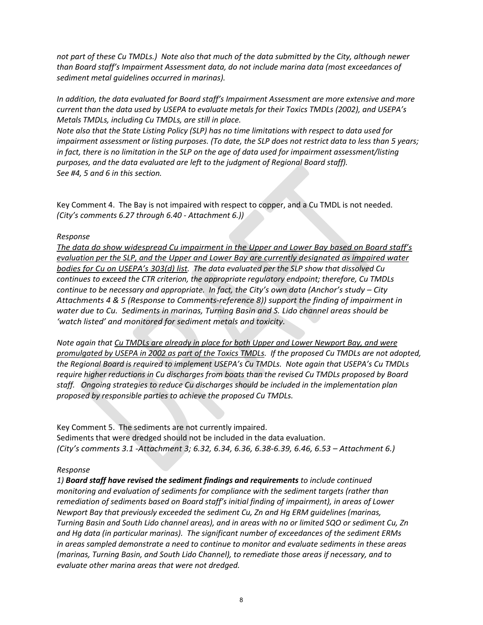*not part of these Cu TMDLs.) Note also that much of the data submitted by the City, although newer than Board staff's Impairment Assessment data, do not include marina data (most exceedances of sediment metal guidelines occurred in marinas).* 

*In addition, the data evaluated for Board staff's Impairment Assessment are more extensive and more current than the data used by USEPA to evaluate metals for their Toxics TMDLs (2002), and USEPA's Metals TMDLs, including Cu TMDLs, are still in place.* 

*Note also that the State Listing Policy (SLP) has no time limitations with respect to data used for impairment assessment or listing purposes. (To date, the SLP does not restrict data to less than 5 years; in fact, there is no limitation in the SLP on the age of data used for impairment assessment/listing purposes, and the data evaluated are left to the judgment of Regional Board staff). See #4, 5 and 6 in this section.* 

Key Comment 4. The Bay is not impaired with respect to copper, and a Cu TMDL is not needed. *(City's comments 6.27 through 6.40 - Attachment 6.))* 

#### *Response*

*The data do show widespread Cu impairment in the Upper and Lower Bay based on Board staff's evaluation per the SLP, and the Upper and Lower Bay are currently designated as impaired water bodies for Cu on USEPA's 303(d) list. The data evaluated per the SLP show that dissolved Cu continues to exceed the CTR criterion, the appropriate regulatory endpoint; therefore, Cu TMDLs continue to be necessary and appropriate. In fact, the City's own data (Anchor's study – City Attachments 4 & 5 (Response to Comments-reference 8)) support the finding of impairment in water due to Cu. Sediments in marinas, Turning Basin and S. Lido channel areas should be 'watch listed' and monitored for sediment metals and toxicity.* 

*Note again that Cu TMDLs are already in place for both Upper and Lower Newport Bay, and were promulgated by USEPA in 2002 as part of the Toxics TMDLs. If the proposed Cu TMDLs are not adopted, the Regional Board is required to implement USEPA's Cu TMDLs. Note again that USEPA's Cu TMDLs require higher reductions in Cu discharges from boats than the revised Cu TMDLs proposed by Board staff. Ongoing strategies to reduce Cu discharges should be included in the implementation plan proposed by responsible parties to achieve the proposed Cu TMDLs.*

Key Comment 5. The sediments are not currently impaired. Sediments that were dredged should not be included in the data evaluation. *(City's comments 3.1 -Attachment 3; 6.32, 6.34, 6.36, 6.38-6.39, 6.46, 6.53 – Attachment 6.)* 

#### *Response*

*1) Board staff have revised the sediment findings and requirements to include continued monitoring and evaluation of sediments for compliance with the sediment targets (rather than remediation of sediments based on Board staff's initial finding of impairment), in areas of Lower Newport Bay that previously exceeded the sediment Cu, Zn and Hg ERM guidelines (marinas, Turning Basin and South Lido channel areas), and in areas with no or limited SQO or sediment Cu, Zn and Hg data (in particular marinas). The significant number of exceedances of the sediment ERMs in areas sampled demonstrate a need to continue to monitor and evaluate sediments in these areas (marinas, Turning Basin, and South Lido Channel), to remediate those areas if necessary, and to evaluate other marina areas that were not dredged.*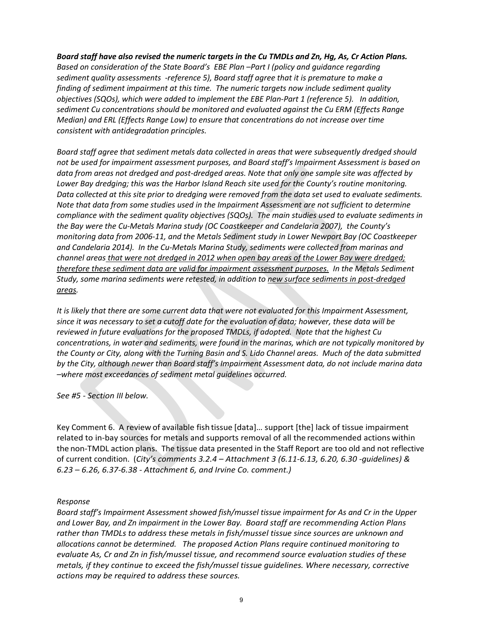*Board staff have also revised the numeric targets in the Cu TMDLs and Zn, Hg, As, Cr Action Plans. Based on consideration of the State Board's EBE Plan –Part I (policy and guidance regarding sediment quality assessments -reference 5), Board staff agree that it is premature to make a finding of sediment impairment at this time. The numeric targets now include sediment quality objectives (SQOs), which were added to implement the EBE Plan-Part 1 (reference 5). In addition, sediment Cu concentrations should be monitored and evaluated against the Cu ERM (Effects Range Median) and ERL (Effects Range Low) to ensure that concentrations do not increase over time consistent with antidegradation principles.*

*Board staff agree that sediment metals data collected in areas that were subsequently dredged should not be used for impairment assessment purposes, and Board staff's Impairment Assessment is based on data from areas not dredged and post-dredged areas. Note that only one sample site was affected by Lower Bay dredging; this was the Harbor Island Reach site used for the County's routine monitoring. Data collected at this site prior to dredging were removed from the data set used to evaluate sediments. Note that data from some studies used in the Impairment Assessment are not sufficient to determine compliance with the sediment quality objectives (SQOs). The main studies used to evaluate sediments in the Bay were the Cu-Metals Marina study (OC Coastkeeper and Candelaria 2007), the County's monitoring data from 2006-11, and the Metals Sediment study in Lower Newport Bay (OC Coastkeeper and Candelaria 2014). In the Cu-Metals Marina Study, sediments were collected from marinas and channel areas that were not dredged in 2012 when open bay areas of the Lower Bay were dredged; therefore these sediment data are valid for impairment assessment purposes. In the Metals Sediment Study, some marina sediments were retested, in addition to new surface sediments in post-dredged areas.* 

*It is likely that there are some current data that were not evaluated for this Impairment Assessment, since it was necessary to set a cutoff date for the evaluation of data; however, these data will be reviewed in future evaluations for the proposed TMDLs, if adopted. Note that the highest Cu concentrations, in water and sediments, were found in the marinas, which are not typically monitored by the County or City, along with the Turning Basin and S. Lido Channel areas. Much of the data submitted by the City, although newer than Board staff's Impairment Assessment data, do not include marina data –where most exceedances of sediment metal guidelines occurred.* 

*See #5 - Section III below.* 

Key Comment 6. A review of available fish tissue [data]… support [the] lack of tissue impairment related to in-bay sources for metals and supports removal of all the recommended actions within the non-TMDL action plans. The tissue data presented in the Staff Report are too old and not reflective of current condition. (*City's comments 3.2.4 – Attachment 3 (6.11-6.13, 6.20, 6.30 -guidelines) & 6.23 – 6.26, 6.37-6.38 - Attachment 6, and Irvine Co. comment.)*

#### *Response*

*Board staff's Impairment Assessment showed fish/mussel tissue impairment for As and Cr in the Upper and Lower Bay, and Zn impairment in the Lower Bay. Board staff are recommending Action Plans rather than TMDLs to address these metals in fish/mussel tissue since sources are unknown and allocations cannot be determined. The proposed Action Plans require continued monitoring to evaluate As, Cr and Zn in fish/mussel tissue, and recommend source evaluation studies of these metals, if they continue to exceed the fish/mussel tissue guidelines. Where necessary, corrective actions may be required to address these sources.*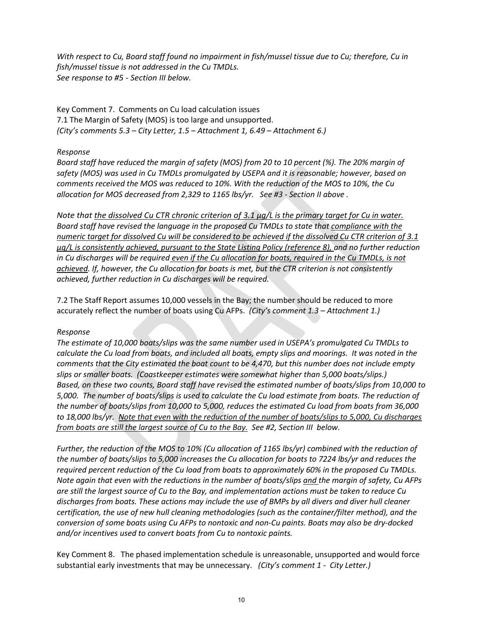*With respect to Cu, Board staff found no impairment in fish/mussel tissue due to Cu; therefore, Cu in fish/mussel tissue is not addressed in the Cu TMDLs. See response to #5 - Section III below.* 

Key Comment 7. Comments on Cu load calculation issues 7.1 The Margin of Safety (MOS) is too large and unsupported. *(City's comments 5.3 – City Letter, 1.5 – Attachment 1, 6.49 – Attachment 6.)*

#### *Response*

*Board staff have reduced the margin of safety (MOS) from 20 to 10 percent (%). The 20% margin of safety (MOS) was used in Cu TMDLs promulgated by USEPA and it is reasonable; however, based on comments received the MOS was reduced to 10%. With the reduction of the MOS to 10%, the Cu*  allocation for MOS decreased from 2,329 to 1165 lbs/yr. See #3 - Section II above .

*Note that the dissolved Cu CTR chronic criterion of 3.1 µg/L is the primary target for Cu in water. Board staff have revised the language in the proposed Cu TMDLs to state that compliance with the numeric target for dissolved Cu will be considered to be achieved if the dissolved Cu CTR criterion of 3.1 µg/L is consistently achieved, pursuant to the State Listing Policy (reference 8), and no further reduction in Cu discharges will be required even if the Cu allocation for boats, required in the Cu TMDLs, is not achieved. If, however, the Cu allocation for boats is met, but the CTR criterion is not consistently achieved, further reduction in Cu discharges will be required.* 

7.2 The Staff Report assumes 10,000 vessels in the Bay; the number should be reduced to more accurately reflect the number of boats using Cu AFPs. *(City's comment 1.3 – Attachment 1.)*

#### *Response*

*The estimate of 10,000 boats/slips was the same number used in USEPA's promulgated Cu TMDLs to calculate the Cu load from boats, and included all boats, empty slips and moorings. It was noted in the comments that the City estimated the boat count to be 4,470, but this number does not include empty slips or smaller boats. (Coastkeeper estimates were somewhat higher than 5,000 boats/slips.) Based, on these two counts, Board staff have revised the estimated number of boats/slips from 10,000 to 5,000. The number of boats/slips is used to calculate the Cu load estimate from boats. The reduction of the number of boats/slips from 10,000 to 5,000, reduces the estimated Cu load from boats from 36,000 to 18,000 lbs/yr. Note that even with the reduction of the number of boats/slips to 5,000, Cu discharges from boats are still the largest source of Cu to the Bay. See #2, Section III below.* 

*Further, the reduction of the MOS to 10% (Cu allocation of 1165 lbs/yr) combined with the reduction of the number of boats/slips to 5,000 increases the Cu allocation for boats to 7224 lbs/yr and reduces the required percent reduction of the Cu load from boats to approximately 60% in the proposed Cu TMDLs. Note again that even with the reductions in the number of boats/slips and the margin of safety, Cu AFPs are still the largest source of Cu to the Bay, and implementation actions must be taken to reduce Cu discharges from boats. These actions may include the use of BMPs by all divers and diver hull cleaner certification, the use of new hull cleaning methodologies (such as the container/filter method), and the conversion of some boats using Cu AFPs to nontoxic and non-Cu paints. Boats may also be dry-docked and/or incentives used to convert boats from Cu to nontoxic paints.* 

Key Comment 8. The phased implementation schedule is unreasonable, unsupported and would force substantial early investments that may be unnecessary. *(City's comment 1 - City Letter.)*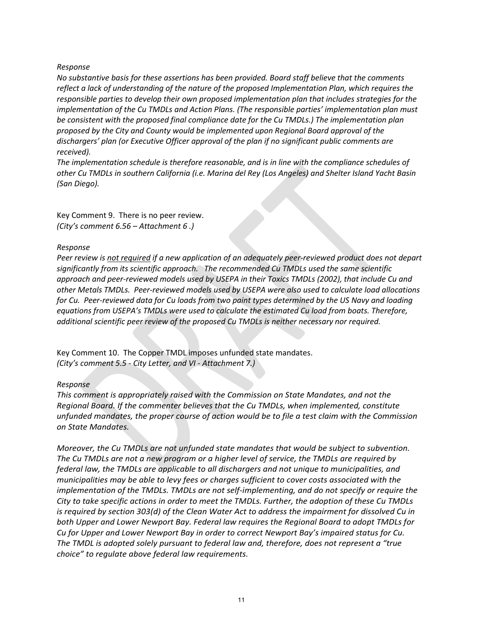#### *Response*

*No substantive basis for these assertions has been provided. Board staff believe that the comments reflect a lack of understanding of the nature of the proposed Implementation Plan, which requires the responsible parties to develop their own proposed implementation plan that includes strategies for the implementation of the Cu TMDLs and Action Plans. (The responsible parties' implementation plan must be consistent with the proposed final compliance date for the Cu TMDLs.) The implementation plan proposed by the City and County would be implemented upon Regional Board approval of the dischargers' plan (or Executive Officer approval of the plan if no significant public comments are received).* 

*The implementation schedule is therefore reasonable, and is in line with the compliance schedules of other Cu TMDLs in southern California (i.e. Marina del Rey (Los Angeles) and Shelter Island Yacht Basin (San Diego).* 

Key Comment 9. There is no peer review. *(City's comment 6.56 – Attachment 6 .)* 

#### *Response*

*Peer review is not required if a new application of an adequately peer-reviewed product does not depart significantly from its scientific approach. The recommended Cu TMDLs used the same scientific approach and peer-reviewed models used by USEPA in their Toxics TMDLs (2002), that include Cu and other Metals TMDLs. Peer-reviewed models used by USEPA were also used to calculate load allocations for Cu. Peer-reviewed data for Cu loads from two paint types determined by the US Navy and loading equations from USEPA's TMDLs were used to calculate the estimated Cu load from boats. Therefore, additional scientific peer review of the proposed Cu TMDLs is neither necessary nor required.* 

Key Comment 10. The Copper TMDL imposes unfunded state mandates. *(City's comment 5.5 - City Letter, and VI - Attachment 7.)* 

#### *Response*

*This comment is appropriately raised with the Commission on State Mandates, and not the Regional Board. If the commenter believes that the Cu TMDLs, when implemented, constitute unfunded mandates, the proper course of action would be to file a test claim with the Commission on State Mandates.* 

*Moreover, the Cu TMDLs are not unfunded state mandates that would be subject to subvention. The Cu TMDLs are not a new program or a higher level of service, the TMDLs are required by federal law, the TMDLs are applicable to all dischargers and not unique to municipalities, and municipalities may be able to levy fees or charges sufficient to cover costs associated with the implementation of the TMDLs. TMDLs are not self-implementing, and do not specify or require the City to take specific actions in order to meet the TMDLs. Further, the adoption of these Cu TMDLs is required by section 303(d) of the Clean Water Act to address the impairment for dissolved Cu in both Upper and Lower Newport Bay. Federal law requires the Regional Board to adopt TMDLs for Cu for Upper and Lower Newport Bay in order to correct Newport Bay's impaired status for Cu. The TMDL is adopted solely pursuant to federal law and, therefore, does not represent a "true choice" to regulate above federal law requirements.*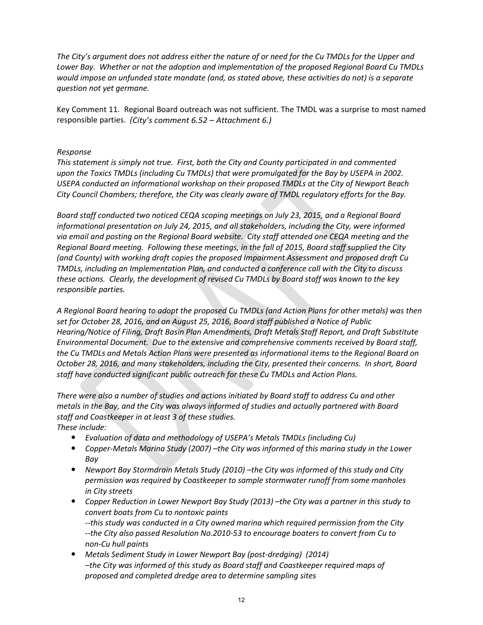*The City's argument does not address either the nature of or need for the Cu TMDLs for the Upper and Lower Bay. Whether or not the adoption and implementation of the proposed Regional Board Cu TMDLs would impose an unfunded state mandate (and, as stated above, these activities do not) is a separate question not yet germane.* 

Key Comment 11. Regional Board outreach was not sufficient. The TMDL was a surprise to most named responsible parties. *(City's comment 6.52 – Attachment 6.)* 

#### *Response*

*This statement is simply not true. First, both the City and County participated in and commented upon the Toxics TMDLs (including Cu TMDLs) that were promulgated for the Bay by USEPA in 2002. USEPA conducted an informational workshop on their proposed TMDLs at the City of Newport Beach City Council Chambers; therefore, the City was clearly aware of TMDL regulatory efforts for the Bay.*

*Board staff conducted two noticed CEQA scoping meetings on July 23, 2015, and a Regional Board informational presentation on July 24, 2015, and all stakeholders, including the City, were informed via email and posting on the Regional Board website. City staff attended one CEQA meeting and the Regional Board meeting. Following these meetings, in the fall of 2015, Board staff supplied the City (and County) with working draft copies the proposed Impairment Assessment and proposed draft Cu TMDLs, including an Implementation Plan, and conducted a conference call with the City to discuss these actions. Clearly, the development of revised Cu TMDLs by Board staff was known to the key responsible parties.* 

*A Regional Board hearing to adopt the proposed Cu TMDLs (and Action Plans for other metals) was then set for October 28, 2016, and on August 25, 2016, Board staff published a Notice of Public Hearing/Notice of Filing, Draft Basin Plan Amendments, Draft Metals Staff Report, and Draft Substitute Environmental Document. Due to the extensive and comprehensive comments received by Board staff, the Cu TMDLs and Metals Action Plans were presented as informational items to the Regional Board on October 28, 2016, and many stakeholders, including the City, presented their concerns. In short, Board staff have conducted significant public outreach for these Cu TMDLs and Action Plans.* 

*There were also a number of studies and actions initiated by Board staff to address Cu and other metals in the Bay, and the City was always informed of studies and actually partnered with Board staff and Coastkeeper in at least 3 of these studies.* 

*These include:* 

- ' *Evaluation of data and methodology of USEPA's Metals TMDLs (including Cu)*
- ' *Copper-Metals Marina Study (2007) –the City was informed of this marina study in the Lower Bay*
- ' *Newport Bay Stormdrain Metals Study (2010) –the City was informed of this study and City permission was required by Coastkeeper to sample stormwater runoff from some manholes in City streets*
- ' *Copper Reduction in Lower Newport Bay Study (2013) –the City was a partner in this study to convert boats from Cu to nontoxic paints --this study was conducted in a City owned marina which required permission from the City --the City also passed Resolution No.2010-53 to encourage boaters to convert from Cu to non-Cu hull paints*
- ' *Metals Sediment Study in Lower Newport Bay (post-dredging) (2014) –the City was informed of this study as Board staff and Coastkeeper required maps of proposed and completed dredge area to determine sampling sites*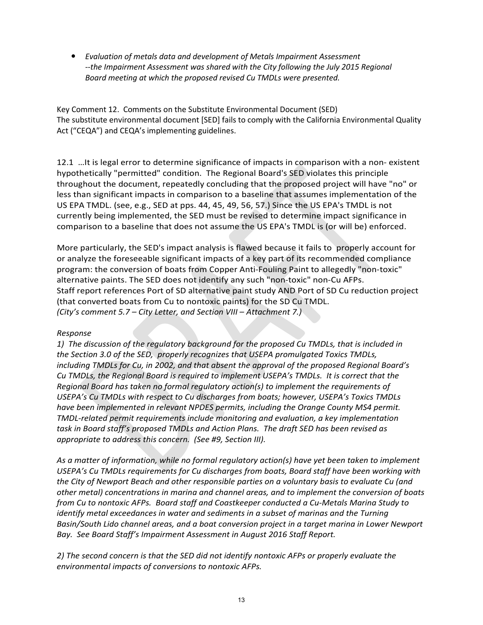' *Evaluation of metals data and development of Metals Impairment Assessment*  --the Impairment Assessment was shared with the City following the July 2015 Regional *Board meeting at which the proposed revised Cu TMDLs were presented.* 

Key Comment 12. Comments on the Substitute Environmental Document (SED) The substitute environmental document [SED] fails to comply with the California Environmental Quality Act ("CEQA") and CEQA's implementing guidelines.

12.1 …It is legal error to determine significance of impacts in comparison with a non- existent hypothetically "permitted" condition. The Regional Board's SED violates this principle throughout the document, repeatedly concluding that the proposed project will have "no" or less than significant impacts in comparison to a baseline that assumes implementation of the US EPA TMDL. (see, e.g., SED at pps. 44, 45, 49, 56, 57.) Since the US EPA's TMDL is not currently being implemented, the SED must be revised to determine impact significance in comparison to a baseline that does not assume the US EPA's TMDL is (or will be) enforced.

More particularly, the SED's impact analysis is flawed because it fails to properly account for or analyze the foreseeable significant impacts of a key part of its recommended compliance program: the conversion of boats from Copper Anti-Fouling Paint to allegedly "non-toxic" alternative paints. The SED does not identify any such "non-toxic" non-Cu AFPs. Staff report references Port of SD alternative paint study AND Port of SD Cu reduction project (that converted boats from Cu to nontoxic paints) for the SD Cu TMDL. *(City's comment 5.7 – City Letter, and Section VIII – Attachment 7.)*

#### *Response*

*1) The discussion of the regulatory background for the proposed Cu TMDLs, that is included in the Section 3.0 of the SED, properly recognizes that USEPA promulgated Toxics TMDLs, including TMDLs for Cu, in 2002, and that absent the approval of the proposed Regional Board's Cu TMDLs, the Regional Board is required to implement USEPA's TMDLs. It is correct that the Regional Board has taken no formal regulatory action(s) to implement the requirements of USEPA's Cu TMDLs with respect to Cu discharges from boats; however, USEPA's Toxics TMDLs have been implemented in relevant NPDES permits, including the Orange County MS4 permit. TMDL-related permit requirements include monitoring and evaluation, a key implementation task in Board staff's proposed TMDLs and Action Plans. The draft SED has been revised as appropriate to address this concern. (See #9, Section III).* 

*As a matter of information, while no formal regulatory action(s) have yet been taken to implement USEPA's Cu TMDLs requirements for Cu discharges from boats, Board staff have been working with the City of Newport Beach and other responsible parties on a voluntary basis to evaluate Cu (and other metal) concentrations in marina and channel areas, and to implement the conversion of boats from Cu to nontoxic AFPs. Board staff and Coastkeeper conducted a Cu-Metals Marina Study to identify metal exceedances in water and sediments in a subset of marinas and the Turning Basin/South Lido channel areas, and a boat conversion project in a target marina in Lower Newport Bay. See Board Staff's Impairment Assessment in August 2016 Staff Report.* 

*2) The second concern is that the SED did not identify nontoxic AFPs or properly evaluate the environmental impacts of conversions to nontoxic AFPs.*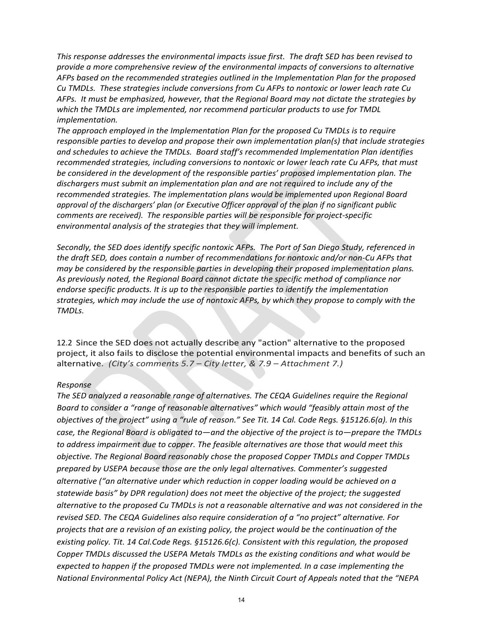*This response addresses the environmental impacts issue first. The draft SED has been revised to provide a more comprehensive review of the environmental impacts of conversions to alternative AFPs based on the recommended strategies outlined in the Implementation Plan for the proposed Cu TMDLs. These strategies include conversions from Cu AFPs to nontoxic or lower leach rate Cu AFPs. It must be emphasized, however, that the Regional Board may not dictate the strategies by which the TMDLs are implemented, nor recommend particular products to use for TMDL implementation.*

*The approach employed in the Implementation Plan for the proposed Cu TMDLs is to require responsible parties to develop and propose their own implementation plan(s) that include strategies and schedules to achieve the TMDLs. Board staff's recommended Implementation Plan identifies recommended strategies, including conversions to nontoxic or lower leach rate Cu AFPs, that must be considered in the development of the responsible parties' proposed implementation plan. The dischargers must submit an implementation plan and are not required to include any of the recommended strategies. The implementation plans would be implemented upon Regional Board approval of the dischargers' plan (or Executive Officer approval of the plan if no significant public comments are received). The responsible parties will be responsible for project-specific environmental analysis of the strategies that they will implement.* 

*Secondly, the SED does identify specific nontoxic AFPs. The Port of San Diego Study, referenced in the draft SED, does contain a number of recommendations for nontoxic and/or non-Cu AFPs that may be considered by the responsible parties in developing their proposed implementation plans. As previously noted, the Regional Board cannot dictate the specific method of compliance nor endorse specific products. It is up to the responsible parties to identify the implementation strategies, which may include the use of nontoxic AFPs, by which they propose to comply with the TMDLs.*

12.2 Since the SED does not actually describe any "action" alternative to the proposed project, it also fails to disclose the potential environmental impacts and benefits of such an alternative. *(City's comments 5.7 – City letter, & 7.9 – Attachment 7.)* 

#### *Response*

*The SED analyzed a reasonable range of alternatives. The CEQA Guidelines require the Regional Board to consider a "range of reasonable alternatives" which would "feasibly attain most of the objectives of the project" using a "rule of reason." See Tit. 14 Cal. Code Regs. §15126.6(a). In this case, the Regional Board is obligated to—and the objective of the project is to—prepare the TMDLs to address impairment due to copper. The feasible alternatives are those that would meet this objective. The Regional Board reasonably chose the proposed Copper TMDLs and Copper TMDLs prepared by USEPA because those are the only legal alternatives. Commenter's suggested alternative ("an alternative under which reduction in copper loading would be achieved on a statewide basis" by DPR regulation) does not meet the objective of the project; the suggested alternative to the proposed Cu TMDLs is not a reasonable alternative and was not considered in the revised SED. The CEQA Guidelines also require consideration of a "no project" alternative. For projects that are a revision of an existing policy, the project would be the continuation of the existing policy. Tit. 14 Cal.Code Regs. §15126.6(c). Consistent with this regulation, the proposed Copper TMDLs discussed the USEPA Metals TMDLs as the existing conditions and what would be expected to happen if the proposed TMDLs were not implemented. In a case implementing the National Environmental Policy Act (NEPA), the Ninth Circuit Court of Appeals noted that the "NEPA*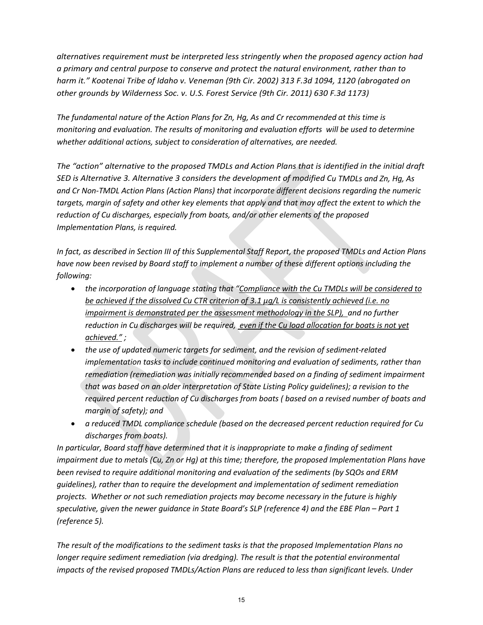*alternatives requirement must be interpreted less stringently when the proposed agency action had a primary and central purpose to conserve and protect the natural environment, rather than to harm it." Kootenai Tribe of Idaho v. Veneman (9th Cir. 2002) 313 F.3d 1094, 1120 (abrogated on other grounds by Wilderness Soc. v. U.S. Forest Service (9th Cir. 2011) 630 F.3d 1173)*

*The fundamental nature of the Action Plans for Zn, Hg, As and Cr recommended at this time is monitoring and evaluation. The results of monitoring and evaluation efforts will be used to determine whether additional actions, subject to consideration of alternatives, are needed.* 

*The "action" alternative to the proposed TMDLs and Action Plans that is identified in the initial draft SED is Alternative 3. Alternative 3 considers the development of modified Cu TMDLs and Zn, Hg, As and Cr Non-TMDL Action Plans (Action Plans) that incorporate different decisions regarding the numeric targets, margin of safety and other key elements that apply and that may affect the extent to which the reduction of Cu discharges, especially from boats, and/or other elements of the proposed Implementation Plans, is required.* 

*In fact, as described in Section III of this Supplemental Staff Report, the proposed TMDLs and Action Plans have now been revised by Board staff to implement a number of these different options including the following:* 

- *the incorporation of language stating that "Compliance with the Cu TMDLs will be considered to be achieved if the dissolved Cu CTR criterion of 3.1 µg/L is consistently achieved (i.e. no impairment is demonstrated per the assessment methodology in the SLP), and no further reduction in Cu discharges will be required, even if the Cu load allocation for boats is not yet achieved." ;*
- *the use of updated numeric targets for sediment, and the revision of sediment-related implementation tasks to include continued monitoring and evaluation of sediments, rather than remediation (remediation was initially recommended based on a finding of sediment impairment that was based on an older interpretation of State Listing Policy guidelines); a revision to the required percent reduction of Cu discharges from boats ( based on a revised number of boats and margin of safety); and*
- *a reduced TMDL compliance schedule (based on the decreased percent reduction required for Cu discharges from boats).*

*In particular, Board staff have determined that it is inappropriate to make a finding of sediment impairment due to metals (Cu, Zn or Hg) at this time; therefore, the proposed Implementation Plans have been revised to require additional monitoring and evaluation of the sediments (by SQOs and ERM guidelines), rather than to require the development and implementation of sediment remediation projects. Whether or not such remediation projects may become necessary in the future is highly speculative, given the newer guidance in State Board's SLP (reference 4) and the EBE Plan – Part 1 (reference 5).* 

*The result of the modifications to the sediment tasks is that the proposed Implementation Plans no longer require sediment remediation (via dredging). The result is that the potential environmental impacts of the revised proposed TMDLs/Action Plans are reduced to less than significant levels. Under*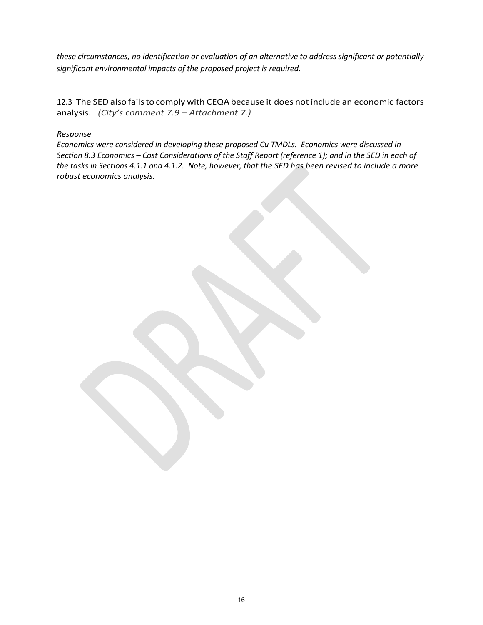*these circumstances, no identification or evaluation of an alternative to address significant or potentially significant environmental impacts of the proposed project is required.*

12.3 The SED also fails to comply with CEQA because it does not include an economic factors analysis. *(City's comment 7.9 – Attachment 7.)* 

#### *Response*

*Economics were considered in developing these proposed Cu TMDLs. Economics were discussed in Section 8.3 Economics – Cost Considerations of the Staff Report (reference 1); and in the SED in each of the tasks in Sections 4.1.1 and 4.1.2. Note, however, that the SED has been revised to include a more robust economics analysis.*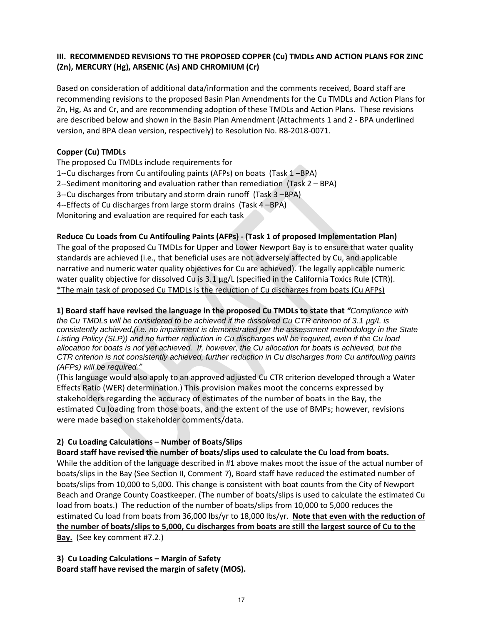#### **III. RECOMMENDED REVISIONS TO THE PROPOSED COPPER (Cu) TMDLs AND ACTION PLANS FOR ZINC (Zn), MERCURY (Hg), ARSENIC (As) AND CHROMIUM (Cr)**

Based on consideration of additional data/information and the comments received, Board staff are recommending revisions to the proposed Basin Plan Amendments for the Cu TMDLs and Action Plans for Zn, Hg, As and Cr, and are recommending adoption of these TMDLs and Action Plans. These revisions are described below and shown in the Basin Plan Amendment (Attachments 1 and 2 - BPA underlined version, and BPA clean version, respectively) to Resolution No. R8-2018-0071.

#### **Copper (Cu) TMDLs**

The proposed Cu TMDLs include requirements for 1--Cu discharges from Cu antifouling paints (AFPs) on boats (Task 1 –BPA) 2--Sediment monitoring and evaluation rather than remediation (Task 2 – BPA) 3--Cu discharges from tributary and storm drain runoff (Task 3 –BPA) 4--Effects of Cu discharges from large storm drains (Task 4 –BPA) Monitoring and evaluation are required for each task

#### **Reduce Cu Loads from Cu Antifouling Paints (AFPs) - (Task 1 of proposed Implementation Plan)**

The goal of the proposed Cu TMDLs for Upper and Lower Newport Bay is to ensure that water quality standards are achieved (i.e., that beneficial uses are not adversely affected by Cu, and applicable narrative and numeric water quality objectives for Cu are achieved). The legally applicable numeric water quality objective for dissolved Cu is 3.1  $\mu$ g/L (specified in the California Toxics Rule (CTR)). \*The main task of proposed Cu TMDLs is the reduction of Cu discharges from boats (Cu AFPs)

#### **1) Board staff have revised the language in the proposed Cu TMDLs to state that** *"Compliance with*

*the Cu TMDLs will be considered to be achieved if the dissolved Cu CTR criterion of 3.1 µg/L is consistently achieved,(i.e. no impairment is demonstrated per the assessment methodology in the State Listing Policy (SLP)) and no further reduction in Cu discharges will be required, even if the Cu load allocation for boats is not yet achieved. If, however, the Cu allocation for boats is achieved, but the CTR criterion is not consistently achieved, further reduction in Cu discharges from Cu antifouling paints (AFPs) will be required."*

(This language would also apply to an approved adjusted Cu CTR criterion developed through a Water Effects Ratio (WER) determination.) This provision makes moot the concerns expressed by stakeholders regarding the accuracy of estimates of the number of boats in the Bay, the estimated Cu loading from those boats, and the extent of the use of BMPs; however, revisions were made based on stakeholder comments/data.

#### **2) Cu Loading Calculations – Number of Boats/Slips**

**Board staff have revised the number of boats/slips used to calculate the Cu load from boats.** 

While the addition of the language described in #1 above makes moot the issue of the actual number of boats/slips in the Bay (See Section II, Comment 7), Board staff have reduced the estimated number of boats/slips from 10,000 to 5,000. This change is consistent with boat counts from the City of Newport Beach and Orange County Coastkeeper. (The number of boats/slips is used to calculate the estimated Cu load from boats.) The reduction of the number of boats/slips from 10,000 to 5,000 reduces the estimated Cu load from boats from 36,000 lbs/yr to 18,000 lbs/yr. **Note that even with the reduction of the number of boats/slips to 5,000, Cu discharges from boats are still the largest source of Cu to the Bay.** (See key comment #7.2.)

**3) Cu Loading Calculations – Margin of Safety Board staff have revised the margin of safety (MOS).**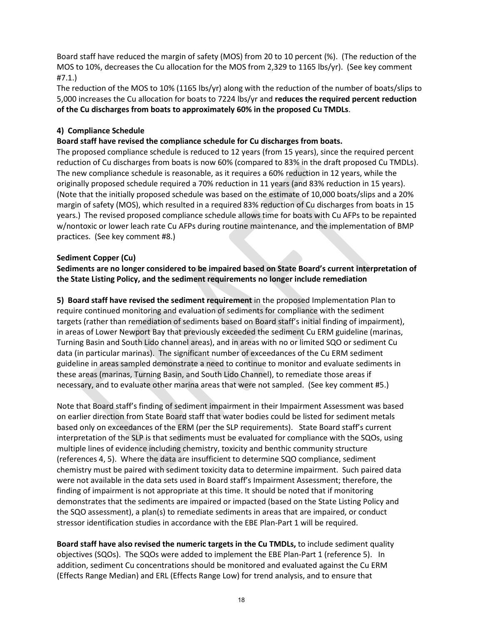Board staff have reduced the margin of safety (MOS) from 20 to 10 percent (%). (The reduction of the MOS to 10%, decreases the Cu allocation for the MOS from 2,329 to 1165 lbs/yr). (See key comment #7.1.)

The reduction of the MOS to 10% (1165 lbs/yr) along with the reduction of the number of boats/slips to 5,000 increases the Cu allocation for boats to 7224 lbs/yr and **reduces the required percent reduction of the Cu discharges from boats to approximately 60% in the proposed Cu TMDLs**.

#### **4) Compliance Schedule**

**Board staff have revised the compliance schedule for Cu discharges from boats.** 

The proposed compliance schedule is reduced to 12 years (from 15 years), since the required percent reduction of Cu discharges from boats is now 60% (compared to 83% in the draft proposed Cu TMDLs). The new compliance schedule is reasonable, as it requires a 60% reduction in 12 years, while the originally proposed schedule required a 70% reduction in 11 years (and 83% reduction in 15 years). (Note that the initially proposed schedule was based on the estimate of 10,000 boats/slips and a 20% margin of safety (MOS), which resulted in a required 83% reduction of Cu discharges from boats in 15 years.) The revised proposed compliance schedule allows time for boats with Cu AFPs to be repainted w/nontoxic or lower leach rate Cu AFPs during routine maintenance, and the implementation of BMP practices. (See key comment #8.)

#### **Sediment Copper (Cu)**

**Sediments are no longer considered to be impaired based on State Board's current interpretation of the State Listing Policy, and the sediment requirements no longer include remediation** 

**5) Board staff have revised the sediment requirement** in the proposed Implementation Plan to require continued monitoring and evaluation of sediments for compliance with the sediment targets (rather than remediation of sediments based on Board staff's initial finding of impairment), in areas of Lower Newport Bay that previously exceeded the sediment Cu ERM guideline (marinas, Turning Basin and South Lido channel areas), and in areas with no or limited SQO or sediment Cu data (in particular marinas). The significant number of exceedances of the Cu ERM sediment guideline in areas sampled demonstrate a need to continue to monitor and evaluate sediments in these areas (marinas, Turning Basin, and South Lido Channel), to remediate those areas if necessary, and to evaluate other marina areas that were not sampled. (See key comment #5.)

Note that Board staff's finding of sediment impairment in their Impairment Assessment was based on earlier direction from State Board staff that water bodies could be listed for sediment metals based only on exceedances of the ERM (per the SLP requirements). State Board staff's current interpretation of the SLP is that sediments must be evaluated for compliance with the SQOs, using multiple lines of evidence including chemistry, toxicity and benthic community structure (references 4, 5). Where the data are insufficient to determine SQO compliance, sediment chemistry must be paired with sediment toxicity data to determine impairment. Such paired data were not available in the data sets used in Board staff's Impairment Assessment; therefore, the finding of impairment is not appropriate at this time. It should be noted that if monitoring demonstrates that the sediments are impaired or impacted (based on the State Listing Policy and the SQO assessment), a plan(s) to remediate sediments in areas that are impaired, or conduct stressor identification studies in accordance with the EBE Plan-Part 1 will be required.

**Board staff have also revised the numeric targets in the Cu TMDLs,** to include sediment quality objectives (SQOs). The SQOs were added to implement the EBE Plan-Part 1 (reference 5). In addition, sediment Cu concentrations should be monitored and evaluated against the Cu ERM (Effects Range Median) and ERL (Effects Range Low) for trend analysis, and to ensure that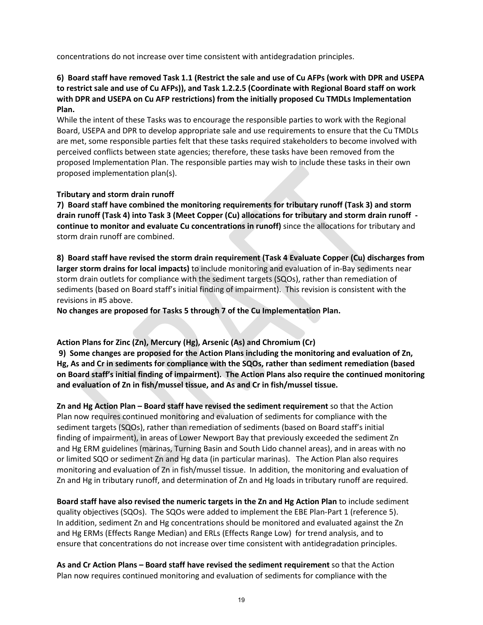concentrations do not increase over time consistent with antidegradation principles.

#### **6) Board staff have removed Task 1.1 (Restrict the sale and use of Cu AFPs (work with DPR and USEPA to restrict sale and use of Cu AFPs)), and Task 1.2.2.5 (Coordinate with Regional Board staff on work with DPR and USEPA on Cu AFP restrictions) from the initially proposed Cu TMDLs Implementation Plan.**

While the intent of these Tasks was to encourage the responsible parties to work with the Regional Board, USEPA and DPR to develop appropriate sale and use requirements to ensure that the Cu TMDLs are met, some responsible parties felt that these tasks required stakeholders to become involved with perceived conflicts between state agencies; therefore, these tasks have been removed from the proposed Implementation Plan. The responsible parties may wish to include these tasks in their own proposed implementation plan(s).

#### **Tributary and storm drain runoff**

**7) Board staff have combined the monitoring requirements for tributary runoff (Task 3) and storm drain runoff (Task 4) into Task 3 (Meet Copper (Cu) allocations for tributary and storm drain runoff continue to monitor and evaluate Cu concentrations in runoff)** since the allocations for tributary and storm drain runoff are combined.

**8) Board staff have revised the storm drain requirement (Task 4 Evaluate Copper (Cu) discharges from larger storm drains for local impacts)** to include monitoring and evaluation of in-Bay sediments near storm drain outlets for compliance with the sediment targets (SQOs), rather than remediation of sediments (based on Board staff's initial finding of impairment). This revision is consistent with the revisions in #5 above.

**No changes are proposed for Tasks 5 through 7 of the Cu Implementation Plan.** 

#### **Action Plans for Zinc (Zn), Mercury (Hg), Arsenic (As) and Chromium (Cr)**

 **9) Some changes are proposed for the Action Plans including the monitoring and evaluation of Zn, Hg, As and Cr in sediments for compliance with the SQOs, rather than sediment remediation (based on Board staff's initial finding of impairment). The Action Plans also require the continued monitoring and evaluation of Zn in fish/mussel tissue, and As and Cr in fish/mussel tissue.** 

**Zn and Hg Action Plan – Board staff have revised the sediment requirement** so that the Action Plan now requires continued monitoring and evaluation of sediments for compliance with the sediment targets (SQOs), rather than remediation of sediments (based on Board staff's initial finding of impairment), in areas of Lower Newport Bay that previously exceeded the sediment Zn and Hg ERM guidelines (marinas, Turning Basin and South Lido channel areas), and in areas with no or limited SQO or sediment Zn and Hg data (in particular marinas). The Action Plan also requires monitoring and evaluation of Zn in fish/mussel tissue. In addition, the monitoring and evaluation of Zn and Hg in tributary runoff, and determination of Zn and Hg loads in tributary runoff are required.

**Board staff have also revised the numeric targets in the Zn and Hg Action Plan** to include sediment quality objectives (SQOs). The SQOs were added to implement the EBE Plan-Part 1 (reference 5). In addition, sediment Zn and Hg concentrations should be monitored and evaluated against the Zn and Hg ERMs (Effects Range Median) and ERLs (Effects Range Low) for trend analysis, and to ensure that concentrations do not increase over time consistent with antidegradation principles.

**As and Cr Action Plans – Board staff have revised the sediment requirement** so that the Action Plan now requires continued monitoring and evaluation of sediments for compliance with the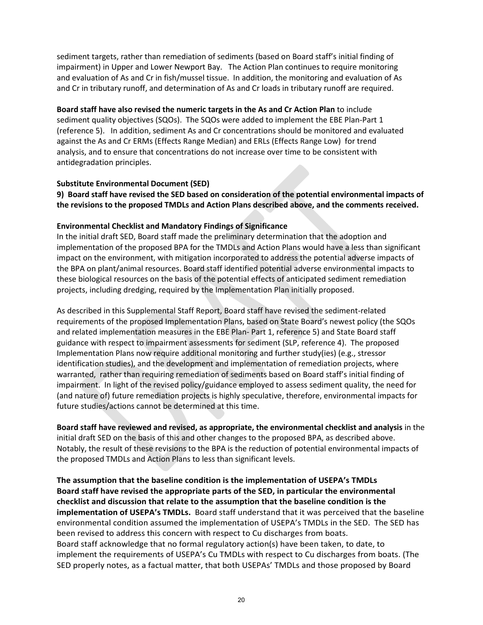sediment targets, rather than remediation of sediments (based on Board staff's initial finding of impairment) in Upper and Lower Newport Bay. The Action Plan continues to require monitoring and evaluation of As and Cr in fish/mussel tissue. In addition, the monitoring and evaluation of As and Cr in tributary runoff, and determination of As and Cr loads in tributary runoff are required.

**Board staff have also revised the numeric targets in the As and Cr Action Plan** to include sediment quality objectives (SQOs). The SQOs were added to implement the EBE Plan-Part 1 (reference 5). In addition, sediment As and Cr concentrations should be monitored and evaluated against the As and Cr ERMs (Effects Range Median) and ERLs (Effects Range Low) for trend analysis, and to ensure that concentrations do not increase over time to be consistent with antidegradation principles.

#### **Substitute Environmental Document (SED)**

**9) Board staff have revised the SED based on consideration of the potential environmental impacts of the revisions to the proposed TMDLs and Action Plans described above, and the comments received.** 

#### **Environmental Checklist and Mandatory Findings of Significance**

In the initial draft SED, Board staff made the preliminary determination that the adoption and implementation of the proposed BPA for the TMDLs and Action Plans would have a less than significant impact on the environment, with mitigation incorporated to address the potential adverse impacts of the BPA on plant/animal resources. Board staff identified potential adverse environmental impacts to these biological resources on the basis of the potential effects of anticipated sediment remediation projects, including dredging, required by the Implementation Plan initially proposed.

As described in this Supplemental Staff Report, Board staff have revised the sediment-related requirements of the proposed Implementation Plans, based on State Board's newest policy (the SQOs and related implementation measures in the EBE Plan- Part 1, reference 5) and State Board staff guidance with respect to impairment assessments for sediment (SLP, reference 4). The proposed Implementation Plans now require additional monitoring and further study(ies) (e.g., stressor identification studies), and the development and implementation of remediation projects, where warranted, rather than requiring remediation of sediments based on Board staff's initial finding of impairment. In light of the revised policy/guidance employed to assess sediment quality, the need for (and nature of) future remediation projects is highly speculative, therefore, environmental impacts for future studies/actions cannot be determined at this time.

**Board staff have reviewed and revised, as appropriate, the environmental checklist and analysis** in the initial draft SED on the basis of this and other changes to the proposed BPA, as described above. Notably, the result of these revisions to the BPA is the reduction of potential environmental impacts of the proposed TMDLs and Action Plans to less than significant levels.

**The assumption that the baseline condition is the implementation of USEPA's TMDLs Board staff have revised the appropriate parts of the SED, in particular the environmental checklist and discussion that relate to the assumption that the baseline condition is the implementation of USEPA's TMDLs.** Board staff understand that it was perceived that the baseline environmental condition assumed the implementation of USEPA's TMDLs in the SED. The SED has been revised to address this concern with respect to Cu discharges from boats. Board staff acknowledge that no formal regulatory action(s) have been taken, to date, to implement the requirements of USEPA's Cu TMDLs with respect to Cu discharges from boats. (The SED properly notes, as a factual matter, that both USEPAs' TMDLs and those proposed by Board